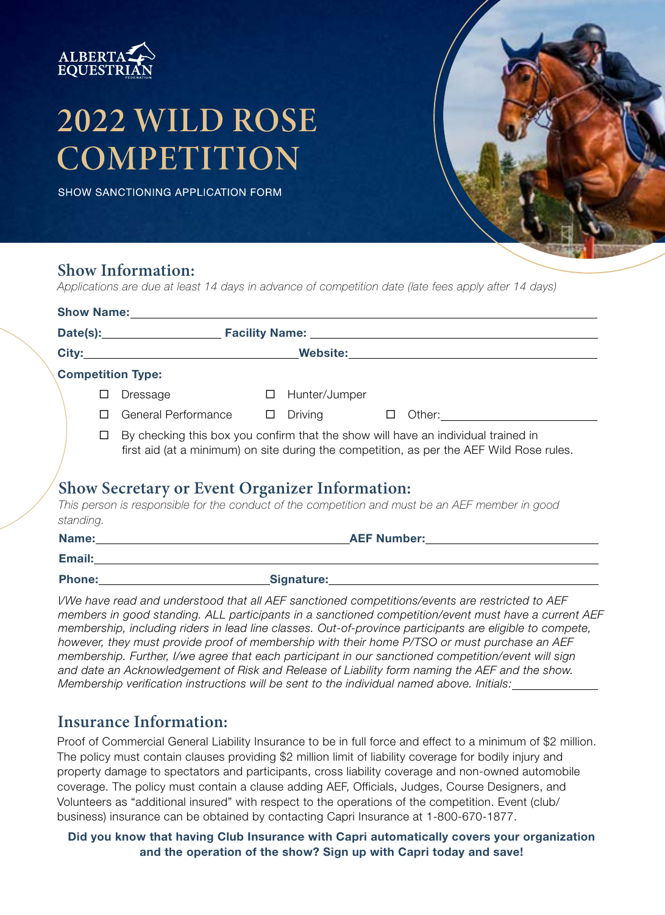

# 2022 WILD ROSE COMPETITION

SHOW SANCTIONING APPLICATION FORM

### **Show Information:**

*Applications are due at least 14 days in advance of competition date (late fees apply after 14 days)*

|                          |                                                                                                                                                                                         | <b>Show Name:</b> Show Name:                                                                                                                                                                                                   |  |                   |  |                                                                                                                                                                                                                                      |
|--------------------------|-----------------------------------------------------------------------------------------------------------------------------------------------------------------------------------------|--------------------------------------------------------------------------------------------------------------------------------------------------------------------------------------------------------------------------------|--|-------------------|--|--------------------------------------------------------------------------------------------------------------------------------------------------------------------------------------------------------------------------------------|
|                          |                                                                                                                                                                                         |                                                                                                                                                                                                                                |  |                   |  |                                                                                                                                                                                                                                      |
|                          |                                                                                                                                                                                         |                                                                                                                                                                                                                                |  |                   |  | <u>City: Website: Website: Website: Website: Website: Website: Website: Website: Website: Website: Website: Website: Website: Website: Website: Website: Website: Website: Website: Website: Website: Website: Website: Website:</u> |
| <b>Competition Type:</b> |                                                                                                                                                                                         |                                                                                                                                                                                                                                |  |                   |  |                                                                                                                                                                                                                                      |
|                          | LI                                                                                                                                                                                      | Dressage                                                                                                                                                                                                                       |  | □ Hunter/Jumper   |  |                                                                                                                                                                                                                                      |
|                          | П                                                                                                                                                                                       | General Performance $\Box$                                                                                                                                                                                                     |  | Driving $\square$ |  | Other: <u>with the set of the set of the set of the set of the set of the set of the set of the set of the set of the set of the set of the set of the set of the set of the set of the set of the set of the set of the set of </u> |
|                          | By checking this box you confirm that the show will have an individual trained in<br>$\Box$<br>first aid (at a minimum) on site during the competition, as per the AEF Wild Rose rules. |                                                                                                                                                                                                                                |  |                   |  |                                                                                                                                                                                                                                      |
| standing.                |                                                                                                                                                                                         | <b>Show Secretary or Event Organizer Information:</b>                                                                                                                                                                          |  |                   |  | This person is responsible for the conduct of the competition and must be an AEF member in good                                                                                                                                      |
|                          |                                                                                                                                                                                         | Name: We have a state of the state of the state of the state of the state of the state of the state of the state of the state of the state of the state of the state of the state of the state of the state of the state of th |  |                   |  | <b>AEF Number:</b> And the state of the state of the state of the state of the state of the state of the state of the state of the state of the state of the state of the state of the state of the state of the state of the state  |
| Email:                   |                                                                                                                                                                                         |                                                                                                                                                                                                                                |  |                   |  |                                                                                                                                                                                                                                      |

| non |  |  |
|-----|--|--|
|     |  |  |
|     |  |  |

Signature:

I*/We have read and understood that all AEF sanctioned competitions/events are restricted to AEF members in good standing. ALL participants in a sanctioned competition/event must have a current AEF membership, including riders in lead line classes. Out-of-province participants are eligible to compete, however, they must provide proof of membership with their home P/TSO or must purchase an AEF membership. Further, I/we agree that each participant in our sanctioned competition/event will sign and date an Acknowledgement of Risk and Release of Liability form naming the AEF and the show. Membership verification instructions will be sent to the individual named above. Initials:*

## **Insurance Information:**

Proof of Commercial General Liability Insurance to be in full force and effect to a minimum of \$2 million. The policy must contain clauses providing \$2 million limit of liability coverage for bodily injury and property damage to spectators and participants, cross liability coverage and non-owned automobile coverage. The policy must contain a clause adding AEF, Officials, Judges, Course Designers, and Volunteers as "additional insured" with respect to the operations of the competition. Event (club/ business) insurance can be obtained by contacting Capri Insurance at 1-800-670-1877.

Did you know that having Club Insurance with Capri automatically covers your organization and the operation of the show? Sign up with Capri today and save!